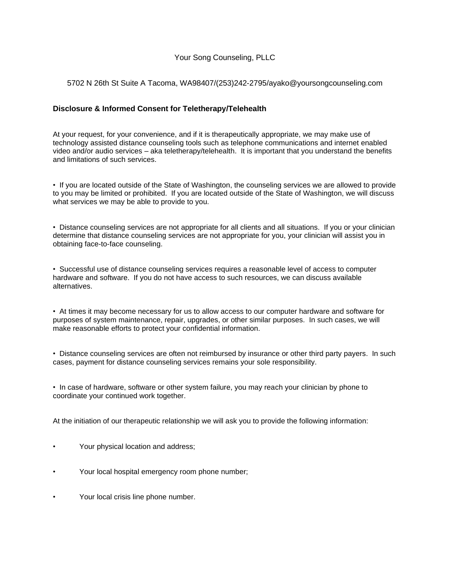# Your Song Counseling, PLLC

#### 5702 N 26th St Suite A Tacoma, WA98407/(253)242-2795/ayako@yoursongcounseling.com

## **Disclosure & Informed Consent for Teletherapy/Telehealth**

At your request, for your convenience, and if it is therapeutically appropriate, we may make use of technology assisted distance counseling tools such as telephone communications and internet enabled video and/or audio services – aka teletherapy/telehealth. It is important that you understand the benefits and limitations of such services.

• If you are located outside of the State of Washington, the counseling services we are allowed to provide to you may be limited or prohibited. If you are located outside of the State of Washington, we will discuss what services we may be able to provide to you.

• Distance counseling services are not appropriate for all clients and all situations. If you or your clinician determine that distance counseling services are not appropriate for you, your clinician will assist you in obtaining face-to-face counseling.

• Successful use of distance counseling services requires a reasonable level of access to computer hardware and software. If you do not have access to such resources, we can discuss available alternatives.

• At times it may become necessary for us to allow access to our computer hardware and software for purposes of system maintenance, repair, upgrades, or other similar purposes. In such cases, we will make reasonable efforts to protect your confidential information.

• Distance counseling services are often not reimbursed by insurance or other third party payers. In such cases, payment for distance counseling services remains your sole responsibility.

• In case of hardware, software or other system failure, you may reach your clinician by phone to coordinate your continued work together.

At the initiation of our therapeutic relationship we will ask you to provide the following information:

- Your physical location and address;
- Your local hospital emergency room phone number;
- Your local crisis line phone number.